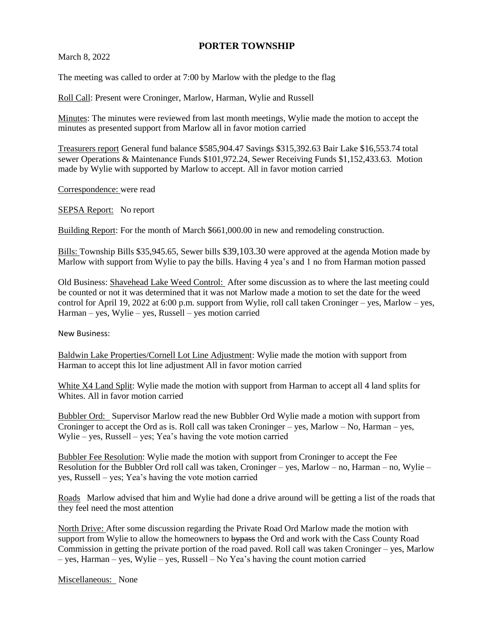## **PORTER TOWNSHIP**

March 8, 2022

The meeting was called to order at 7:00 by Marlow with the pledge to the flag

Roll Call: Present were Croninger, Marlow, Harman, Wylie and Russell

Minutes: The minutes were reviewed from last month meetings, Wylie made the motion to accept the minutes as presented support from Marlow all in favor motion carried

Treasurers report General fund balance \$585,904.47 Savings \$315,392.63 Bair Lake \$16,553.74 total sewer Operations & Maintenance Funds \$101,972.24, Sewer Receiving Funds \$1,152,433.63. Motion made by Wylie with supported by Marlow to accept. All in favor motion carried

Correspondence: were read

SEPSA Report: No report

Building Report: For the month of March \$661,000.00 in new and remodeling construction.

Bills: Township Bills \$35,945.65, Sewer bills \$39,103.30 were approved at the agenda Motion made by Marlow with support from Wylie to pay the bills. Having 4 yea's and 1 no from Harman motion passed

Old Business: Shavehead Lake Weed Control: After some discussion as to where the last meeting could be counted or not it was determined that it was not Marlow made a motion to set the date for the weed control for April 19, 2022 at 6:00 p.m. support from Wylie, roll call taken Croninger – yes, Marlow – yes, Harman – yes, Wylie – yes, Russell – yes motion carried

New Business:

Baldwin Lake Properties/Cornell Lot Line Adjustment: Wylie made the motion with support from Harman to accept this lot line adjustment All in favor motion carried

White X4 Land Split: Wylie made the motion with support from Harman to accept all 4 land splits for Whites. All in favor motion carried

Bubbler Ord: Supervisor Marlow read the new Bubbler Ord Wylie made a motion with support from Croninger to accept the Ord as is. Roll call was taken Croninger – yes, Marlow – No, Harman – yes, Wylie – yes, Russell – yes; Yea's having the vote motion carried

Bubbler Fee Resolution: Wylie made the motion with support from Croninger to accept the Fee Resolution for the Bubbler Ord roll call was taken, Croninger – yes, Marlow – no, Harman – no, Wylie – yes, Russell – yes; Yea's having the vote motion carried

Roads Marlow advised that him and Wylie had done a drive around will be getting a list of the roads that they feel need the most attention

North Drive: After some discussion regarding the Private Road Ord Marlow made the motion with support from Wylie to allow the homeowners to bypass the Ord and work with the Cass County Road Commission in getting the private portion of the road paved. Roll call was taken Croninger – yes, Marlow – yes, Harman – yes, Wylie – yes, Russell – No Yea's having the count motion carried

Miscellaneous: None